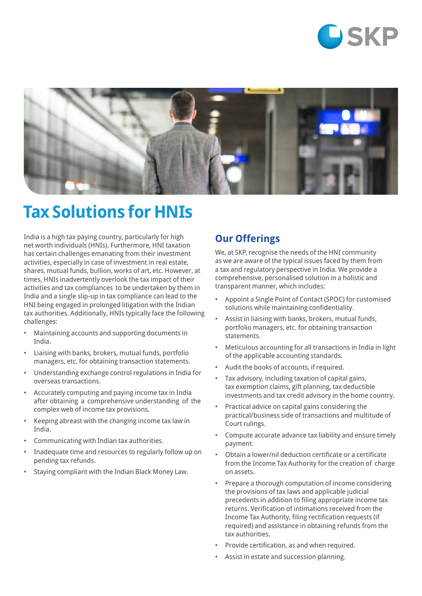



## **Tax Solutions for HNIs**

India is a high tax paying country, particularly for high net worth individuals (HNIs). Furthermore, HNI taxation has certain challenges emanating from their investment activities, especially in case of investment in real estate, shares, mutual funds, bullion, works of art, etc. However, at times, HNIs inadvertently overlook the tax impact of their activities and tax compliances to be undertaken by them in India and a single slip-up in tax compliance can lead to the HNI being engaged in prolonged litigation with the Indian tax authorities. Additionally, HNIs typically face the following challenges:

- Maintaining accounts and supporting documents in India.
- Liaising with banks, brokers, mutual funds, portfolio managers, etc. for obtaining transaction statements.
- Understanding exchange control regulations in India for overseas transactions.
- Accurately computing and paying income tax in India after obtaining a comprehensive understanding of the complex web of income tax provisions.
- Keeping abreast with the changing income tax law in India.
- Communicating with Indian tax authorities.
- Inadequate time and resources to regularly follow up on pending tax refunds.
- Staying compliant with the Indian Black Money Law.

### **Our Offerings**

We, at SKP, recognise the needs of the HNI community as we are aware of the typical issues faced by them from a tax and regulatory perspective in India. We provide a comprehensive, personalised solution in a holistic and transparent manner, which includes:

- Appoint a Single Point of Contact (SPOC) for customised solutions while maintaining confidentiality.
- Assist in liaising with banks, brokers, mutual funds, portfolio managers, etc. for obtaining transaction statements.
- Meticulous accounting for all transactions in India in light of the applicable accounting standards.
- Audit the books of accounts, if required.
- Tax advisory, including taxation of capital gains, tax exemption claims, gift planning, tax deductible investments and tax credit advisory in the home country.
- Practical advice on capital gains considering the practical/business side of transactions and multitude of Court rulings.
- Compute accurate advance tax liability and ensure timely payment.
- Obtain a lower/nil deduction certificate or a certificate from the Income Tax Authority for the creation of charge on assets.
- Prepare a thorough computation of income considering the provisions of tax laws and applicable judicial precedents in addition to filing appropriate income tax returns. Verification of intimations received from the Income Tax Authority, filing rectification requests (if required) and assistance in obtaining refunds from the tax authorities.
- Provide certification, as and when required.
- Assist in estate and succession planning.